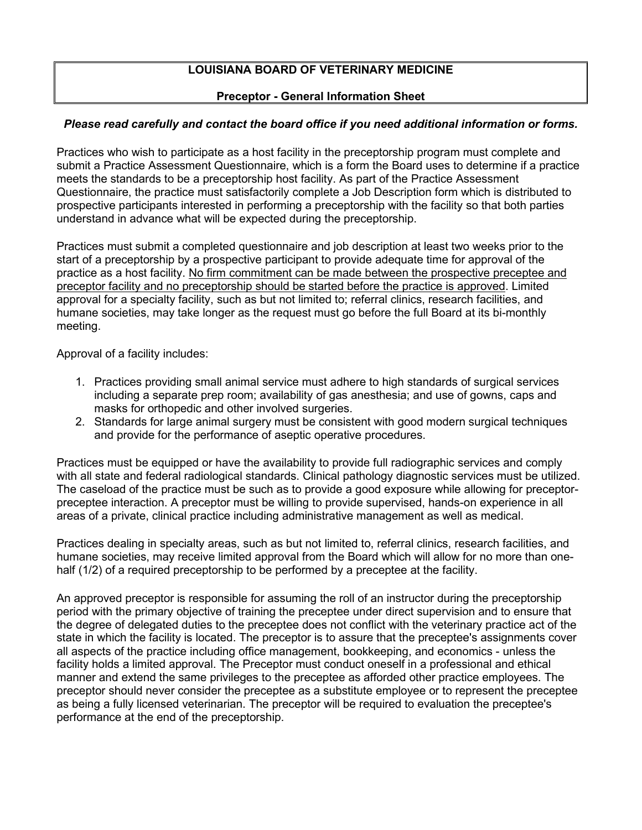# **LOUISIANA BOARD OF VETERINARY MEDICINE**

# **Preceptor - General Information Sheet**

# *Please read carefully and contact the board office if you need additional information or forms.*

Practices who wish to participate as a host facility in the preceptorship program must complete and submit a Practice Assessment Questionnaire, which is a form the Board uses to determine if a practice meets the standards to be a preceptorship host facility. As part of the Practice Assessment Questionnaire, the practice must satisfactorily complete a Job Description form which is distributed to prospective participants interested in performing a preceptorship with the facility so that both parties understand in advance what will be expected during the preceptorship.

Practices must submit a completed questionnaire and job description at least two weeks prior to the start of a preceptorship by a prospective participant to provide adequate time for approval of the practice as a host facility. No firm commitment can be made between the prospective preceptee and preceptor facility and no preceptorship should be started before the practice is approved. Limited approval for a specialty facility, such as but not limited to; referral clinics, research facilities, and humane societies, may take longer as the request must go before the full Board at its bi-monthly meeting.

Approval of a facility includes:

- 1. Practices providing small animal service must adhere to high standards of surgical services including a separate prep room; availability of gas anesthesia; and use of gowns, caps and masks for orthopedic and other involved surgeries.
- 2. Standards for large animal surgery must be consistent with good modern surgical techniques and provide for the performance of aseptic operative procedures.

Practices must be equipped or have the availability to provide full radiographic services and comply with all state and federal radiological standards. Clinical pathology diagnostic services must be utilized. The caseload of the practice must be such as to provide a good exposure while allowing for preceptorpreceptee interaction. A preceptor must be willing to provide supervised, hands-on experience in all areas of a private, clinical practice including administrative management as well as medical.

Practices dealing in specialty areas, such as but not limited to, referral clinics, research facilities, and humane societies, may receive limited approval from the Board which will allow for no more than onehalf (1/2) of a required preceptorship to be performed by a preceptee at the facility.

An approved preceptor is responsible for assuming the roll of an instructor during the preceptorship period with the primary objective of training the preceptee under direct supervision and to ensure that the degree of delegated duties to the preceptee does not conflict with the veterinary practice act of the state in which the facility is located. The preceptor is to assure that the preceptee's assignments cover all aspects of the practice including office management, bookkeeping, and economics - unless the facility holds a limited approval. The Preceptor must conduct oneself in a professional and ethical manner and extend the same privileges to the preceptee as afforded other practice employees. The preceptor should never consider the preceptee as a substitute employee or to represent the preceptee as being a fully licensed veterinarian. The preceptor will be required to evaluation the preceptee's performance at the end of the preceptorship.